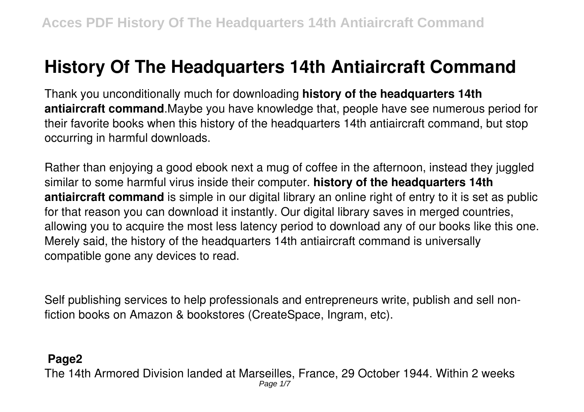# **History Of The Headquarters 14th Antiaircraft Command**

Thank you unconditionally much for downloading **history of the headquarters 14th antiaircraft command**.Maybe you have knowledge that, people have see numerous period for their favorite books when this history of the headquarters 14th antiaircraft command, but stop occurring in harmful downloads.

Rather than enjoying a good ebook next a mug of coffee in the afternoon, instead they juggled similar to some harmful virus inside their computer. **history of the headquarters 14th antiaircraft command** is simple in our digital library an online right of entry to it is set as public for that reason you can download it instantly. Our digital library saves in merged countries, allowing you to acquire the most less latency period to download any of our books like this one. Merely said, the history of the headquarters 14th antiaircraft command is universally compatible gone any devices to read.

Self publishing services to help professionals and entrepreneurs write, publish and sell nonfiction books on Amazon & bookstores (CreateSpace, Ingram, etc).

#### **Page2**

The 14th Armored Division landed at Marseilles, France, 29 October 1944. Within 2 weeks Page 1/7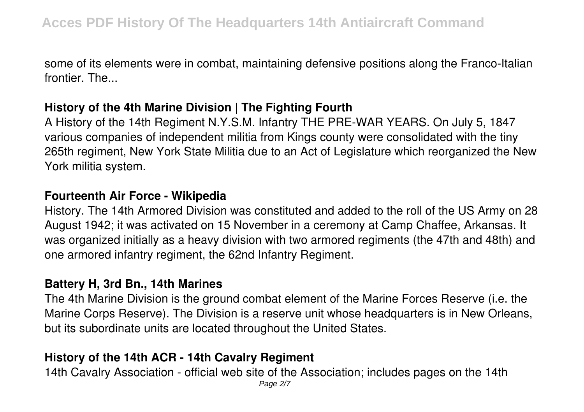some of its elements were in combat, maintaining defensive positions along the Franco-Italian frontier. The...

## **History of the 4th Marine Division | The Fighting Fourth**

A History of the 14th Regiment N.Y.S.M. Infantry THE PRE-WAR YEARS. On July 5, 1847 various companies of independent militia from Kings county were consolidated with the tiny 265th regiment, New York State Militia due to an Act of Legislature which reorganized the New York militia system.

#### **Fourteenth Air Force - Wikipedia**

History. The 14th Armored Division was constituted and added to the roll of the US Army on 28 August 1942; it was activated on 15 November in a ceremony at Camp Chaffee, Arkansas. It was organized initially as a heavy division with two armored regiments (the 47th and 48th) and one armored infantry regiment, the 62nd Infantry Regiment.

#### **Battery H, 3rd Bn., 14th Marines**

The 4th Marine Division is the ground combat element of the Marine Forces Reserve (i.e. the Marine Corps Reserve). The Division is a reserve unit whose headquarters is in New Orleans, but its subordinate units are located throughout the United States.

## **History of the 14th ACR - 14th Cavalry Regiment**

14th Cavalry Association - official web site of the Association; includes pages on the 14th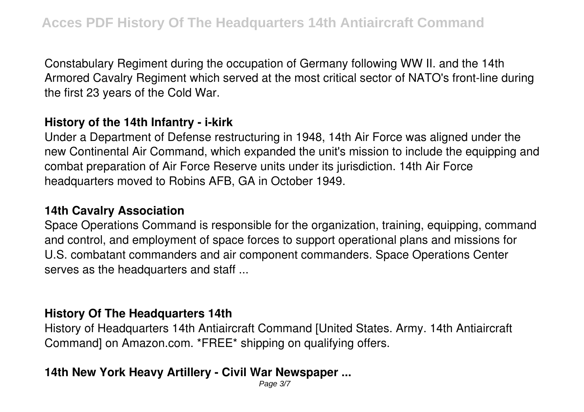Constabulary Regiment during the occupation of Germany following WW II. and the 14th Armored Cavalry Regiment which served at the most critical sector of NATO's front-line during the first 23 years of the Cold War.

## **History of the 14th Infantry - i-kirk**

Under a Department of Defense restructuring in 1948, 14th Air Force was aligned under the new Continental Air Command, which expanded the unit's mission to include the equipping and combat preparation of Air Force Reserve units under its jurisdiction. 14th Air Force headquarters moved to Robins AFB, GA in October 1949.

#### **14th Cavalry Association**

Space Operations Command is responsible for the organization, training, equipping, command and control, and employment of space forces to support operational plans and missions for U.S. combatant commanders and air component commanders. Space Operations Center serves as the headquarters and staff ...

#### **History Of The Headquarters 14th**

History of Headquarters 14th Antiaircraft Command [United States. Army. 14th Antiaircraft Command] on Amazon.com. \*FREE\* shipping on qualifying offers.

## **14th New York Heavy Artillery - Civil War Newspaper ...**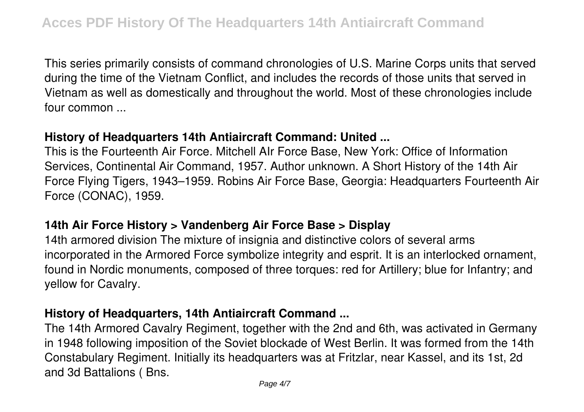This series primarily consists of command chronologies of U.S. Marine Corps units that served during the time of the Vietnam Conflict, and includes the records of those units that served in Vietnam as well as domestically and throughout the world. Most of these chronologies include four common ...

## **History of Headquarters 14th Antiaircraft Command: United ...**

This is the Fourteenth Air Force. Mitchell AIr Force Base, New York: Office of Information Services, Continental Air Command, 1957. Author unknown. A Short History of the 14th Air Force Flying Tigers, 1943–1959. Robins Air Force Base, Georgia: Headquarters Fourteenth Air Force (CONAC), 1959.

#### **14th Air Force History > Vandenberg Air Force Base > Display**

14th armored division The mixture of insignia and distinctive colors of several arms incorporated in the Armored Force symbolize integrity and esprit. It is an interlocked ornament, found in Nordic monuments, composed of three torques: red for Artillery; blue for Infantry; and yellow for Cavalry.

## **History of Headquarters, 14th Antiaircraft Command ...**

The 14th Armored Cavalry Regiment, together with the 2nd and 6th, was activated in Germany in 1948 following imposition of the Soviet blockade of West Berlin. It was formed from the 14th Constabulary Regiment. Initially its headquarters was at Fritzlar, near Kassel, and its 1st, 2d and 3d Battalions ( Bns.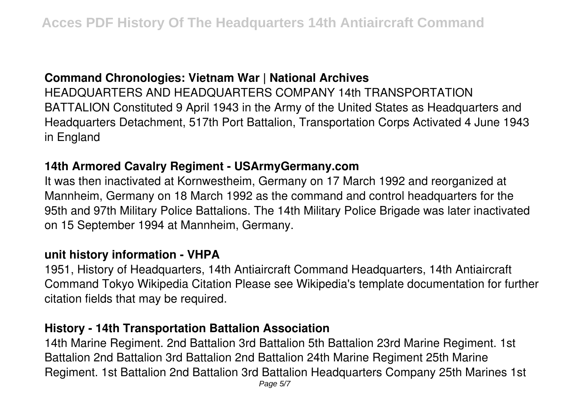## **Command Chronologies: Vietnam War | National Archives**

HEADQUARTERS AND HEADQUARTERS COMPANY 14th TRANSPORTATION BATTALION Constituted 9 April 1943 in the Army of the United States as Headquarters and Headquarters Detachment, 517th Port Battalion, Transportation Corps Activated 4 June 1943 in England

#### **14th Armored Cavalry Regiment - USArmyGermany.com**

It was then inactivated at Kornwestheim, Germany on 17 March 1992 and reorganized at Mannheim, Germany on 18 March 1992 as the command and control headquarters for the 95th and 97th Military Police Battalions. The 14th Military Police Brigade was later inactivated on 15 September 1994 at Mannheim, Germany.

#### **unit history information - VHPA**

1951, History of Headquarters, 14th Antiaircraft Command Headquarters, 14th Antiaircraft Command Tokyo Wikipedia Citation Please see Wikipedia's template documentation for further citation fields that may be required.

#### **History - 14th Transportation Battalion Association**

14th Marine Regiment. 2nd Battalion 3rd Battalion 5th Battalion 23rd Marine Regiment. 1st Battalion 2nd Battalion 3rd Battalion 2nd Battalion 24th Marine Regiment 25th Marine Regiment. 1st Battalion 2nd Battalion 3rd Battalion Headquarters Company 25th Marines 1st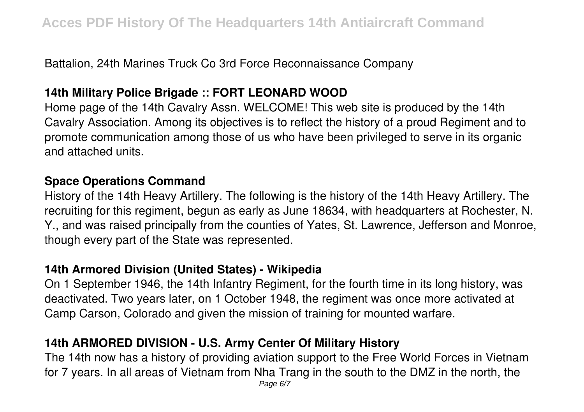Battalion, 24th Marines Truck Co 3rd Force Reconnaissance Company

## **14th Military Police Brigade :: FORT LEONARD WOOD**

Home page of the 14th Cavalry Assn. WELCOME! This web site is produced by the 14th Cavalry Association. Among its objectives is to reflect the history of a proud Regiment and to promote communication among those of us who have been privileged to serve in its organic and attached units.

## **Space Operations Command**

History of the 14th Heavy Artillery. The following is the history of the 14th Heavy Artillery. The recruiting for this regiment, begun as early as June 18634, with headquarters at Rochester, N. Y., and was raised principally from the counties of Yates, St. Lawrence, Jefferson and Monroe, though every part of the State was represented.

## **14th Armored Division (United States) - Wikipedia**

On 1 September 1946, the 14th Infantry Regiment, for the fourth time in its long history, was deactivated. Two years later, on 1 October 1948, the regiment was once more activated at Camp Carson, Colorado and given the mission of training for mounted warfare.

## **14th ARMORED DIVISION - U.S. Army Center Of Military History**

The 14th now has a history of providing aviation support to the Free World Forces in Vietnam for 7 years. In all areas of Vietnam from Nha Trang in the south to the DMZ in the north, the